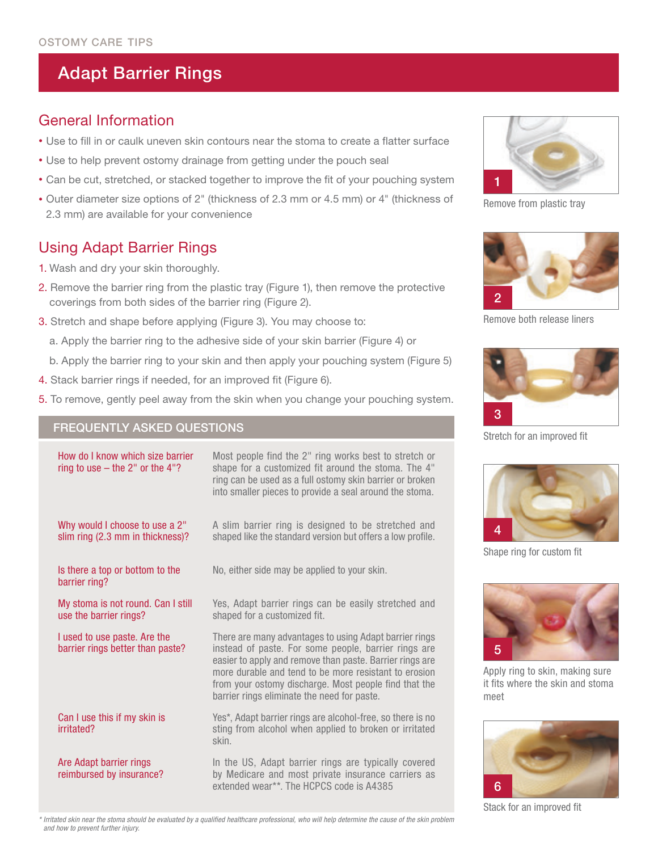# **Adapt Barrier Rings**

## General Information

- Use to fill in or caulk uneven skin contours near the stoma to create a flatter surface
- Use to help prevent ostomy drainage from getting under the pouch seal
- Can be cut, stretched, or stacked together to improve the fit of your pouching system
- Outer diameter size options of 2" (thickness of 2.3 mm or 4.5 mm) or 4" (thickness of 2.3 mm) are available for your convenience

## Using Adapt Barrier Rings

- 1. Wash and dry your skin thoroughly.
- 2. Remove the barrier ring from the plastic tray (Figure 1), then remove the protective coverings from both sides of the barrier ring (Figure 2).
- 3. Stretch and shape before applying (Figure 3). You may choose to:
	- a. Apply the barrier ring to the adhesive side of your skin barrier (Figure 4) or
	- b. Apply the barrier ring to your skin and then apply your pouching system (Figure 5)
- 4. Stack barrier rings if needed, for an improved fit (Figure 6).
- 5. To remove, gently peel away from the skin when you change your pouching system.

### Frequently asked questions

| How do I know which size barrier<br>ring to use $-$ the 2" or the 4"? | Most people find the 2" ring works best to stretch or<br>shape for a customized fit around the stoma. The 4"<br>ring can be used as a full ostomy skin barrier or broken<br>into smaller pieces to provide a seal around the stoma.                                                                                                         |
|-----------------------------------------------------------------------|---------------------------------------------------------------------------------------------------------------------------------------------------------------------------------------------------------------------------------------------------------------------------------------------------------------------------------------------|
| Why would I choose to use a 2"<br>slim ring (2.3 mm in thickness)?    | A slim barrier ring is designed to be stretched and<br>shaped like the standard version but offers a low profile.                                                                                                                                                                                                                           |
| Is there a top or bottom to the<br>barrier ring?                      | No, either side may be applied to your skin.                                                                                                                                                                                                                                                                                                |
| My stoma is not round. Can I still<br>use the barrier rings?          | Yes, Adapt barrier rings can be easily stretched and<br>shaped for a customized fit.                                                                                                                                                                                                                                                        |
| I used to use paste. Are the<br>barrier rings better than paste?      | There are many advantages to using Adapt barrier rings<br>instead of paste. For some people, barrier rings are<br>easier to apply and remove than paste. Barrier rings are<br>more durable and tend to be more resistant to erosion<br>from your ostomy discharge. Most people find that the<br>barrier rings eliminate the need for paste. |
| Can I use this if my skin is<br>irritated?                            | Yes*, Adapt barrier rings are alcohol-free, so there is no<br>sting from alcohol when applied to broken or irritated<br>skin.                                                                                                                                                                                                               |
| Are Adapt barrier rings<br>reimbursed by insurance?                   | In the US, Adapt barrier rings are typically covered<br>by Medicare and most private insurance carriers as<br>extended wear**. The HCPCS code is A4385                                                                                                                                                                                      |



Remove from plastic tray



Remove both release liners



Stretch for an improved fit



Shape ring for custom fit



Apply ring to skin, making sure it fits where the skin and stoma meet



Stack for an improved fit

\* Irritated skin near the stoma should be evaluated by a qualified healthcare professional, who will help determine the cause of the skin problem *and how to prevent further injury.*